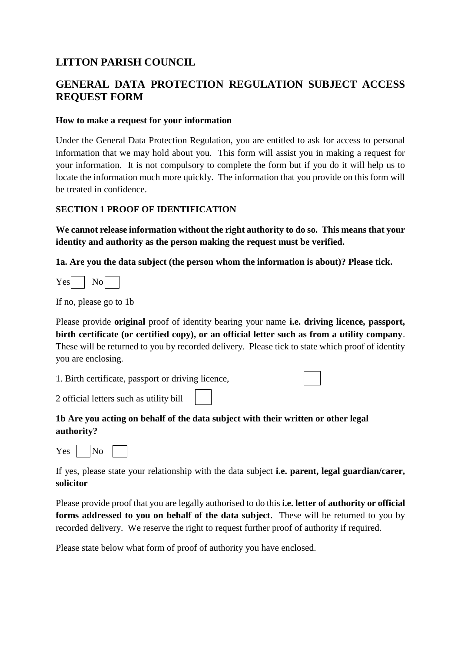# **LITTON PARISH COUNCIL**

# **GENERAL DATA PROTECTION REGULATION SUBJECT ACCESS REQUEST FORM**

## **How to make a request for your information**

Under the General Data Protection Regulation, you are entitled to ask for access to personal information that we may hold about you. This form will assist you in making a request for your information. It is not compulsory to complete the form but if you do it will help us to locate the information much more quickly. The information that you provide on this form will be treated in confidence.

## **SECTION 1 PROOF OF IDENTIFICATION**

**We cannot release information without the right authority to do so. This means that your identity and authority as the person making the request must be verified.**

**1a. Are you the data subject (the person whom the information is about)? Please tick.**

 $Yes \cdot |$  No

If no, please go to 1b

Please provide **original** proof of identity bearing your name **i.e. driving licence, passport, birth certificate (or certified copy), or an official letter such as from a utility company**. These will be returned to you by recorded delivery. Please tick to state which proof of identity you are enclosing.

1. Birth certificate, passport or driving licence,

2 official letters such as utility bill

# **1b Are you acting on behalf of the data subject with their written or other legal authority?**



If yes, please state your relationship with the data subject **i.e. parent, legal guardian/carer, solicitor**

Please provide proof that you are legally authorised to do this **i.e. letter of authority or official forms addressed to you on behalf of the data subject**. These will be returned to you by recorded delivery. We reserve the right to request further proof of authority if required.

Please state below what form of proof of authority you have enclosed.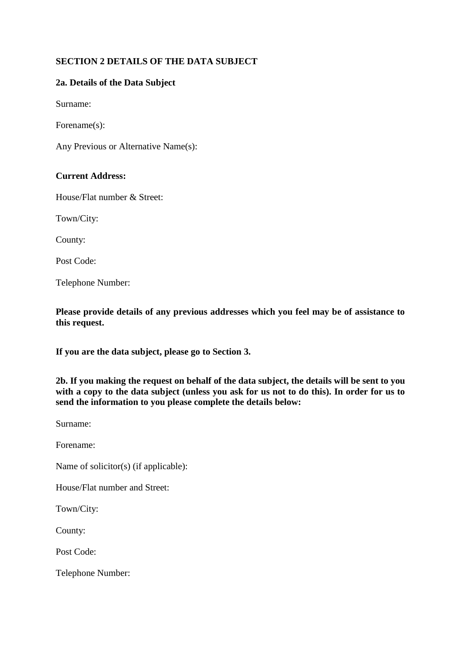# **SECTION 2 DETAILS OF THE DATA SUBJECT**

#### **2a. Details of the Data Subject**

Surname:

Forename(s):

Any Previous or Alternative Name(s):

#### **Current Address:**

House/Flat number & Street:

Town/City:

County:

Post Code:

Telephone Number:

**Please provide details of any previous addresses which you feel may be of assistance to this request.**

**If you are the data subject, please go to Section 3.**

**2b. If you making the request on behalf of the data subject, the details will be sent to you with a copy to the data subject (unless you ask for us not to do this). In order for us to send the information to you please complete the details below:**

Surname:

Forename:

Name of solicitor(s) (if applicable):

House/Flat number and Street:

Town/City:

County:

Post Code:

Telephone Number: